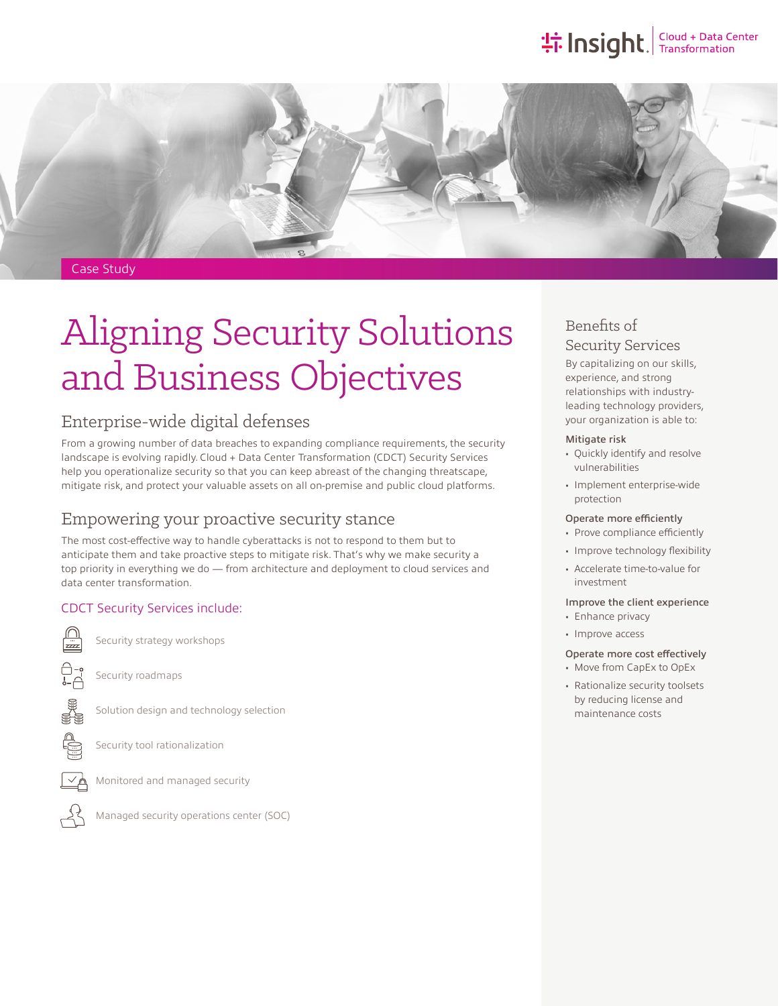## the Insight. Transformation



#### Case Study

# Aligning Security Solutions and Business Objectives

## Enterprise-wide digital defenses

From a growing number of data breaches to expanding compliance requirements, the security landscape is evolving rapidly. Cloud + Data Center Transformation (CDCT) Security Services help you operationalize security so that you can keep abreast of the changing threatscape, mitigate risk, and protect your valuable assets on all on-premise and public cloud platforms.

## Empowering your proactive security stance

The most cost-effective way to handle cyberattacks is not to respond to them but to anticipate them and take proactive steps to mitigate risk. That's why we make security a top priority in everything we do — from architecture and deployment to cloud services and data center transformation.

#### CDCT Security Services include:

Security strategy workshops

Security roadmaps



Solution design and technology selection

Security tool rationalization



Monitored and managed security



Managed security operations center (SOC)

## Benefits of Security Services

By capitalizing on our skills, experience, and strong relationships with industryleading technology providers, your organization is able to:

#### Mitigate risk

- Quickly identify and resolve vulnerabilities
- Implement enterprise-wide protection

#### Operate more efficiently

- Prove compliance efficiently
- Improve technology flexibility
- Accelerate time-to-value for investment

#### Improve the client experience

- Enhance privacy
- Improve access

### Operate more cost effectively

- Move from CapEx to OpEx
- Rationalize security toolsets by reducing license and maintenance costs